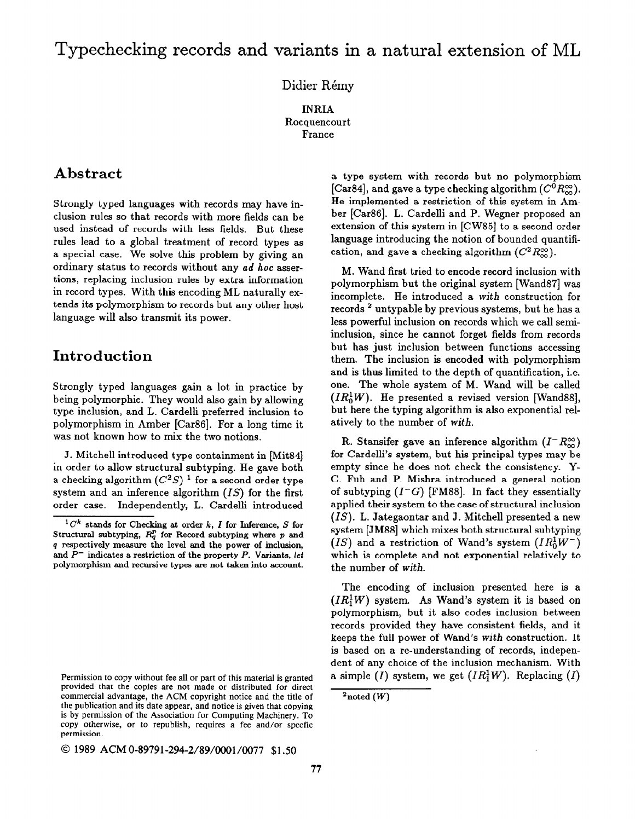# Typechecking records and variants in a natural extension of ML

#### Didier Rémy

INRIA Rocquencourt France

## Abstract

Strongly typed languages with records may have inclusion rules so that records with more fields can be used instead of records with less fields. But these rules lead to a global treatment of record types as a special case. We solve this problem by giving an ordinary status to records without any ad hoc assertions, replacing inclusion rules by extra information in record types. With this encoding ML naturally extends its polymorphism to records but any other host language will also transmit its power.

## Introduction

Strongly typed languages gain a lot in practice by being polymorphic. They would also gain by allowing type inclusion, and L. Cardelli preferred inclusion to polymorphism in Amber [Car86]. For a long time it was not known how to mix the two notions.

J. Mitchell introduced type containment in [Mit84] in order to allow structural subtyping. He gave both a checking algorithm  $(C^2S)^1$  for a second order type system and an inference algorithm  $(IS)$  for the first order case. Independently, L. Cardelli introduced

Permission to copy without fee all or part of this material is granted provided that the copies are not made or distributed for direct commercial advantage, the ACM copyright notice and the title of the publication and its date appear, and notice is given that copying is by permission of the Association for Computing Machinery. To copy otherwise, or to republish, requires a fee and/or specfic permission.

0 1989 ACM 0-89791-294-2/89/0001/0077 \$1.50

a type system with records but no polymorphism [Car84], and gave a type checking algorithm  $(C^{0}R_{\infty}^{\infty})$ . He implemented a restriction of this system in Amber [Car86]. L. Cardelli and P. Wegner proposed an extension of this system in [CW85] to a second order language introducing the notion of bounded quantification, and gave a checking algorithm  $(C^2 R_{\infty}^{\infty})$ .

M. Wand first tried to encode record inclusion with polymorphism but the original system [Wand871 was incomplete. He introduced a with construction for records 2 untypable by previous systems, but he has a less powerful inclusion on records which we call semiinclusion, since he cannot forget fields from records but has just inclusion between functions accessing them. The inclusion is encoded with polymorphism and is thus limited to the depth of quantification, i.e. one. The whole system of M. Wand will be called  $(IR_0^1W)$ . He presented a revised version [Wand88], but here the typing algorithm is also exponential relatively to the number of with.

R. Stansifer gave an inference algorithm  $(I-R_{\infty}^{\infty})$ for Cardelli's system, but his principal types may be empty since he does not check the consistency. Y-C. Fuh and P. Mishra introduced a general notion of subtyping  $(I^-G)$  [FM88]. In fact they essentially applied their system to the case of structural inclusion  $(IS)$ . L. Jategaontar and J. Mitchell presented a new system [JM88] which mixes both structural subtyping  $(IS)$  and a restriction of Wand's system  $(IR_0^1W^-)$ which is complete and not exponential relatively to the number of with.

The encoding of inclusion presented here is a  $(IR<sub>1</sub><sup>1</sup>W)$  system. As Wand's system it is based on polymorphism, but it also codes inclusion between records provided they have consistent fields, and it keeps the full power of Wand's with construction. It is based on a re-understanding of records, independent of any choice of the inclusion mechanism. With a simple (I) system, we get  $(IR<sub>1</sub><sup>1</sup>W)$ . Replacing (I)

 ${}^{1}C^{k}$  stands for Checking at order k, I for Inference, S for Structural subtyping,  $R_q^p$  for Record subtyping where p and p respectively measure the level and the power of inclusion, and  $P^-$  indicates a restriction of the property P. Variants, let polymorphism and recursive types are not taken into account.

 $^{2}$ noted  $(W)$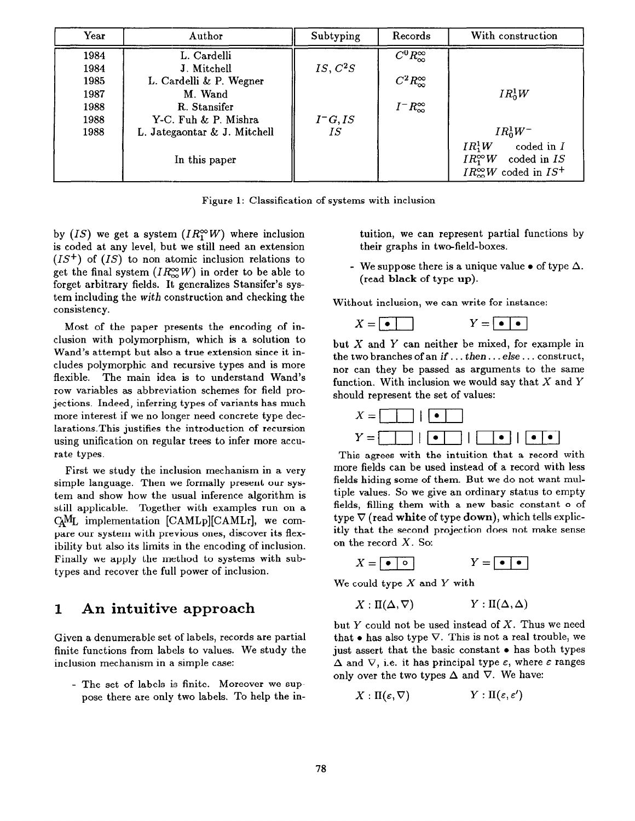| Year | Author                       | Subtyping            | Records                   | With construction                                                                                         |
|------|------------------------------|----------------------|---------------------------|-----------------------------------------------------------------------------------------------------------|
| 1984 | L. Cardelli                  |                      | $C^0 R_{\infty}^{\infty}$ |                                                                                                           |
| 1984 | J. Mitchell                  | IS, C <sup>2</sup> S |                           |                                                                                                           |
| 1985 | L. Cardelli & P. Wegner      |                      | $C^2 R_{\infty}^{\infty}$ |                                                                                                           |
| 1987 | M. Wand                      |                      |                           | $IR_0^1W$                                                                                                 |
| 1988 | R. Stansifer                 |                      | $I^-R_{\infty}^{\infty}$  |                                                                                                           |
| 1988 | Y-C. Fuh & P. Mishra         | $I^-G, IS$           |                           |                                                                                                           |
| 1988 | L. Jategaontar & J. Mitchell | <b>IS</b>            |                           | $IR_0^1W^-$                                                                                               |
|      | In this paper                |                      |                           | $IR_1^1W$<br>coded in $I$<br>$IR_1^{\infty}W$<br>coded in IS<br>$IR_{\infty}^{\infty}W$ coded in $IS^{+}$ |

Figure 1: Classification of systems with inclusion

by (IS) we get a system (IR<sup> $\infty$ </sup>W) where inclusion is coded at any level, but we still need an extension  $(IS^+)$  of  $(IS)$  to non atomic inclusion relations to get the final system  $(IR_{\infty}^{\infty}W)$  in order to be able to forget arbitrary fields. It generalizes Stansifer's system including the with construction and checking the consistency.

Most of the paper presents the encoding of inclusion with polymorphism, which is a solution to Wand's attempt but also a true extension since it includes polymorphic and recursive types and is more flexible. The main idea is to understand Wand's row variables as abbreviation schemes for field projections. Indeed, inferring types of variants has much more interest if we no longer need concrete type declarations.This justifies the introduction of recursion using unification on regular trees to infer more accurate types.

First we study the inclusion mechanism in a very simple language. Then we formally present our system and show how the usual inference algorithm is still applicable. Together with examples run on a  $\text{C}\text{ }_{\text{L}}$  implementation [CAMLp][CAMLr], we compare our system with previous ones, discover its flexibility but also its limits in the encoding of inclusion. Finally we apply the method to systems with subtypes and recover the full power of inclusion.

### 1 An intuitive approach

Given a denumerable set of labels, records are partial finite functions from labels to values. We study the inclusion mechanism in a simple case:

- The set of labels is finite. Moreover we suppose there are only two labels, To help the intuition, we can represent partial functions by their graphs in two-field-boxes.

- We suppose there is a unique value  $\bullet$  of type  $\Delta$ . (read black of type up).

Without inclusion, we can write for instance:

 $Y = \begin{array}{|c|c|} \hline \bullet & \bullet \end{array}$  $X = | \bullet |$ 

but  $X$  and  $Y$  can neither be mixed, for example in the two branches of an if. . . then. . . else . . . construct, nor can they be passed as arguments to the same function. With inclusion we would say that  $X$  and  $Y$ should represent the set of values:



This agrees with the intuition that a record with more fields can be used instead of a record with less fields hiding some of them. But we do not want multiple values. So we give an ordinary status to empty fields, filling them with a new basic constant o of type  $\nabla$  (read white of type down), which tells explicitly that the second projection does not make sense on the record X. So:

$$
X = \boxed{\bullet \circ} \qquad \qquad Y = \boxed{\bullet \bullet}
$$

We could type  $X$  and  $Y$  with

$$
X: \Pi(\Delta, \nabla) \qquad Y: \Pi(\Delta, \Delta)
$$

but  $Y$  could not be used instead of  $X$ . Thus we need that  $\bullet$  has also type  $\nabla$ . This is not a real trouble, we just assert that the basic constant  $\bullet$  has both types  $\Delta$  and  $\nabla$ , i.e. it has principal type  $\varepsilon$ , where  $\varepsilon$  ranges only over the two types  $\Delta$  and  $\nabla$ . We have:

$$
X: \Pi(\varepsilon,\nabla) \qquad \qquad Y: \Pi(\varepsilon,\varepsilon')
$$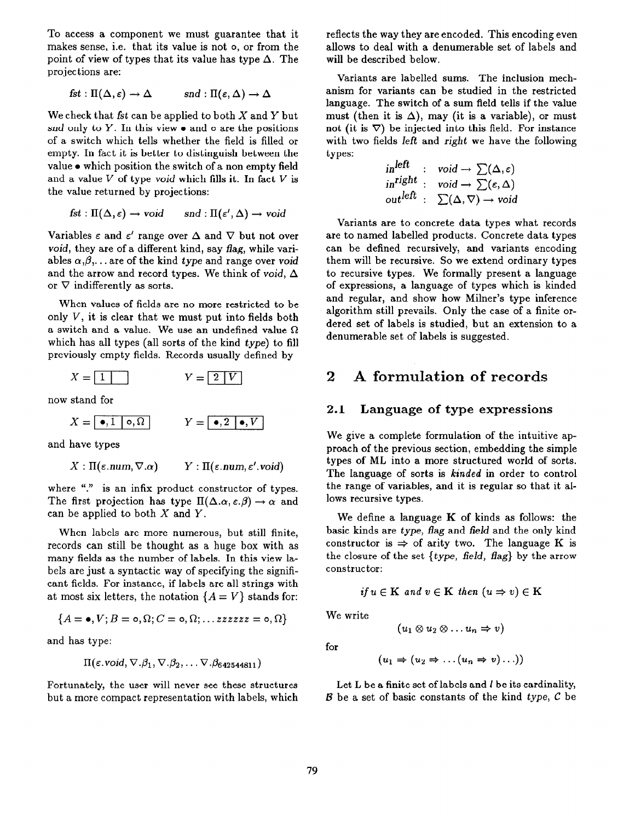To access a component we must guarantee that it makes sense, i.e. that its value is not o, or from the point of view of types that its value has type  $\Delta$ . The projections are:

$$
fst: \Pi(\Delta, \varepsilon) \to \Delta \quad \text{and} \quad \Pi(\varepsilon, \Delta) \to \Delta
$$

We check that fst can be applied to both  $X$  and  $Y$  but snd only to Y. In this view  $\bullet$  and  $\circ$  are the positions of a switch which tells whether the field is filled or empty. In fact it is better to distinguish between the value  $\bullet$  which position the switch of a non empty field and a value  $V$  of type void which fills it. In fact  $V$  is the value returned by projections:

$$
fst: \Pi(\Delta, \varepsilon) \to \text{void} \qquad \text{and} \quad \Pi(\varepsilon', \Delta) \to \text{void}
$$

Variables  $\epsilon$  and  $\epsilon'$  range over  $\Delta$  and  $\nabla$  but not over void, they are of a different kind, say flag, while variables  $\alpha, \beta, \ldots$  are of the kind type and range over void and the arrow and record types. We think of void,  $\Delta$ or  $\nabla$  indifferently as sorts.

When values of fields are no more restricted to be only  $V$ , it is clear that we must put into fields both a switch and a value. We use an undefined value  $\Omega$ which has all types (all sorts of the kind type) to fill previously empty fields. Records usually defined by

$$
X = \boxed{1 \quad \text{if} \quad Y = \boxed{2 \mid V}
$$

now stand for

$$
X = \boxed{\bullet, 1 \mid \circ, \Omega} \qquad \qquad Y = \boxed{\bullet, 2 \mid \bullet, V}
$$

and have types

$$
X:\Pi(\varepsilon.\text{num},\nabla.\alpha) \qquad Y:\Pi(\varepsilon.\text{num},\varepsilon'.\text{void})
$$

where "." is an infix product constructor of types. The first projection has type  $\Pi(\Delta.\alpha, \varepsilon.\beta) \to \alpha$  and can be applied to both  $X$  and  $Y$ .

When labels are more numerous, but still finite, records can still be thought as a huge box with as many fields as the number of labels. In this view labels are just a syntactic way of specifying the significant fields. For instance, if labels are all strings with at most six letters, the notation  ${A = V}$  stands for:

$$
\{A=\bullet,V;B=\circ,\Omega;C=\circ,\Omega;\ldots zzzzz=\circ,\Omega\}
$$

and has type:

$$
\Pi(\varepsilon.\text{void}, \nabla.\beta_1, \nabla.\beta_2, \ldots \nabla.\beta_{642544811}) \qquad (u_1 \Rightarrow (u_2 \Rightarrow \ldots (u_n \Rightarrow v) \ldots))
$$

but a more compact representation with labels, which  $B$  be a set of basic constants of the kind type, C be

reflects the way they are encoded. This encoding even allows to deal with a denumerable set of labels and will be described below.

Variants are labelled sums. The inclusion mechanism for variants can be studied in the restricted language. The switch of a sum field tells if the value must (then it is  $\Delta$ ), may (it is a variable), or must not (it is  $\nabla$ ) be injected into this field. For instance with two fields left and right we have the following types:

$$
in^{left} : void \to \sum(\Delta, \varepsilon)
$$
  

$$
in^{right} : void \to \sum(\varepsilon, \Delta)
$$
  

$$
out^{left} : \sum(\Delta, \nabla) \to void
$$

Variants are to concrete data types what records are to named labelled products. Concrete data types can be defined recursively, and variants encoding them will be recursive. So we extend ordinary types to recursive types. We formally present a language of expressions, a language of types which is kinded and regular, and show how Milner's type inference algorithm still prevails. Only the case of a finite ordered set of labels is studied, but an extension to a denumerable set of labels is suggested.

## 2 A formulation of records

#### 2.1 Language of type expressions

We give a complete formulation of the intuitive approach of the previous section, embedding the simple types of ML into a more structured world of sorts. The language of sorts is kinded in order to control the range of variables, and it is regular so that it allows recursive types.

We define a language  $K$  of kinds as follows: the basic kinds are type, flag and field and the only kind constructor is  $\Rightarrow$  of arity two. The language K is the closure of the set  $\{type, field, flag\}$  by the arrow constructor:

$$
if u \in \mathbf{K} \ and \ v \in \mathbf{K} \ then \ (u \Rightarrow v) \in \mathbf{K}
$$

We write

$$
(u_1\otimes u_2\otimes \ldots u_n\Rightarrow v)
$$

for

$$
(u_1 \Rightarrow (u_2 \Rightarrow \dots (u_n \Rightarrow v) \dots))
$$

Fortunately, the user will never see these structures Let L be a finite set of labels and I be its cardinality,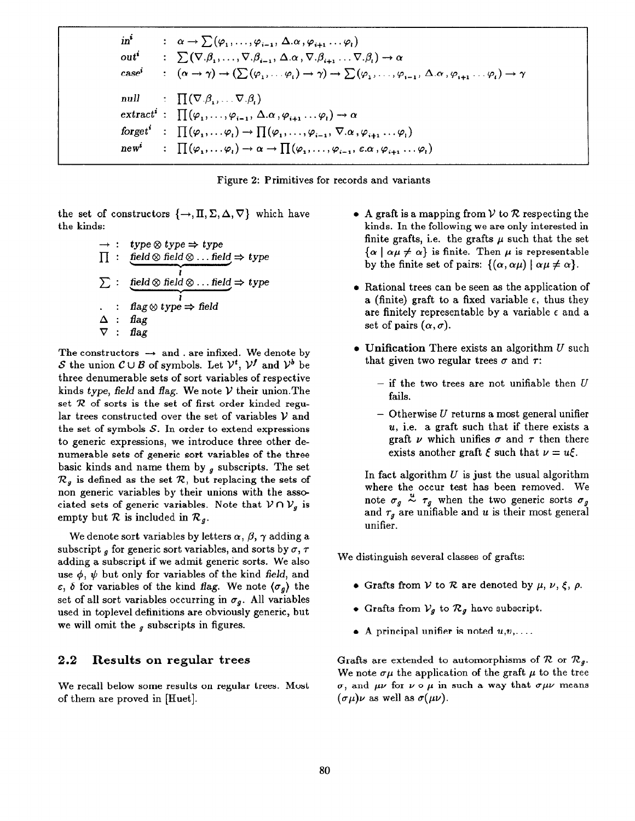$\mathbf{in}^i$  $\alpha \rightarrow \sum (\varphi_1, \ldots, \varphi_{i-1}, \Delta, \alpha, \varphi_{i+1} \ldots \varphi_i)$ :  $\sum (\nabla. \beta_1, \ldots, \nabla. \beta_{i-1}, \Delta. \alpha, \nabla. \beta_{i+1} \ldots \nabla. \beta_i) \rightarrow \alpha$  $out^i$  $\therefore$   $(\alpha \rightarrow \gamma) \rightarrow (\sum (\varphi_1, \ldots \varphi_i) \rightarrow \gamma) \rightarrow \sum (\varphi_1, \ldots, \varphi_{i-1}, \Delta. \alpha, \varphi_{i+1} \ldots \varphi_i) \rightarrow \gamma$  $case<sup>i</sup>$  $\Box$   $\Pi(\nabla.\beta_1,\ldots\nabla.\beta_n)$ null  $\text{extract}^i : \prod (\varphi_1, \ldots, \varphi_{i-1}, \Delta. \alpha, \varphi_{i+1} \ldots \varphi_i) \rightarrow \alpha$ forget<sup>i</sup>  $\vdots \prod (\varphi_1, \ldots \varphi_i) \rightarrow \prod (\varphi_1, \ldots, \varphi_{i-1}, \nabla \cdot \alpha, \varphi_{i+1} \ldots \varphi_i)$  $\colon \prod(\varphi_1,\ldots\varphi_i)\to \alpha \to \prod(\varphi_1,\ldots,\varphi_{i-1},\varepsilon.\alpha,\varphi_{i+1}\ldots\varphi_i)$  $new<sup>i</sup>$ 



the set of constructors  $\{\rightarrow, \Pi, \Sigma, \Delta, \nabla\}$  which have the kinds:

$$
\rightarrow : \text{ type} \otimes \text{ type} \Rightarrow \text{ type}
$$
\n
$$
\Pi : \text{ field} \otimes \text{ field} \otimes \dots \text{ field} \Rightarrow \text{ type}
$$
\n
$$
\sum : \text{ field} \otimes \text{ field} \otimes \dots \text{ field} \Rightarrow \text{ type}
$$
\n
$$
\therefore \text{ flag} \otimes \text{ type} \Rightarrow \text{ field}
$$
\n
$$
\Delta : \text{ flag} \Rightarrow \text{ flag}
$$

The constructors  $\rightarrow$  and . are infixed. We denote by S the union  $C \cup B$  of symbols. Let  $\mathcal{V}^t$ ,  $\mathcal{V}^f$  and  $\mathcal{V}^b$  be three denumerable sets of sort variables of respective kinds type, field and flag. We note  $\mathcal V$  their union. The set  $R$  of sorts is the set of first order kinded regular trees constructed over the set of variables  $V$  and the set of symbols  $S$ . In order to extend expressions to generic expressions, we introduce three other denumerable sets of generic sort variables of the three basic kinds and name them by  $g$  subscripts. The set  $\mathcal{R}_g$  is defined as the set  $\mathcal{R}$ , but replacing the sets of non generic variables by their unions with the associated sets of generic variables. Note that  $V \cap V_g$  is empty but  $R$  is included in  $\mathcal{R}_g$ .

We denote sort variables by letters  $\alpha$ ,  $\beta$ ,  $\gamma$  adding a subscript  $\theta$  for generic sort variables, and sorts by  $\sigma$ ,  $\tau$ adding a subscript if we admit generic sorts. We also use  $\phi$ ,  $\psi$  but only for variables of the kind field, and  $\varepsilon$ ,  $\delta$  for variables of the kind flag. We note  $\langle \sigma_g \rangle$  the set of all sort variables occurring in  $\sigma_q$ . All variables used in toplevel definitions are obviously generic, but we will omit the  $<sub>g</sub>$  subscripts in figures.</sub>

#### 2.2 Results on regular trees

We recall below some results on regular trees. Most of them are proved in [IIuet].

- A graft is a mapping from  $V$  to  $R$  respecting the kinds. In the following we are only interested in finite grafts, i.e. the grafts  $\mu$  such that the set  ${\alpha \mid \alpha \mu \neq \alpha}$  is finite. Then  $\mu$  is representable by the finite set of pairs:  $\{(\alpha, \alpha\mu) \mid \alpha\mu \neq \alpha\}.$
- $\bullet$  Rational trees can be seen as the application of a (finite) graft to a fixed variable  $\epsilon$ , thus they are finitely representable by a variable  $\epsilon$  and a set of pairs  $(\alpha, \sigma)$ .
- $\bullet$  Unification There exists an algorithm  $U$  such that given two regular trees  $\sigma$  and  $\tau$ :
	- $-$  if the two trees are not unifiable then  $U$ fails.
	- $-$  Otherwise U returns a most general unifier  $u$ , i.e. a graft such that if there exists a graft  $\nu$  which unifies  $\sigma$  and  $\tau$  then there exists another graft  $\xi$  such that  $\nu = u\xi$ .

In fact algorithm  $U$  is just the usual algorithm where the occur test has been removed. We note  $\sigma_g \stackrel{u}{\sim} \tau_g$  when the two generic sorts  $\sigma_g$ and  $\tau_g$  are unifiable and u is their most general unifier.

We distinguish several classes of grafts:

- Grafts from V to R are denoted by  $\mu$ ,  $\nu$ ,  $\xi$ ,  $\rho$ .
- Grafts from  $V_g$  to  $\mathcal{R}_g$  have subscript.
- A principal unifier is noted  $u,v, \ldots$

Grafts are extended to automorphisms of  $\mathcal{R}$  or  $\mathcal{R}_g$ . We note  $\sigma\mu$  the application of the graft  $\mu$  to the tree  $\sigma$ , and  $\mu\nu$  for  $\nu \circ \mu$  in such a way that  $\sigma\mu\nu$  means  $(\sigma \mu)\nu$  as well as  $\sigma(\mu\nu)$ .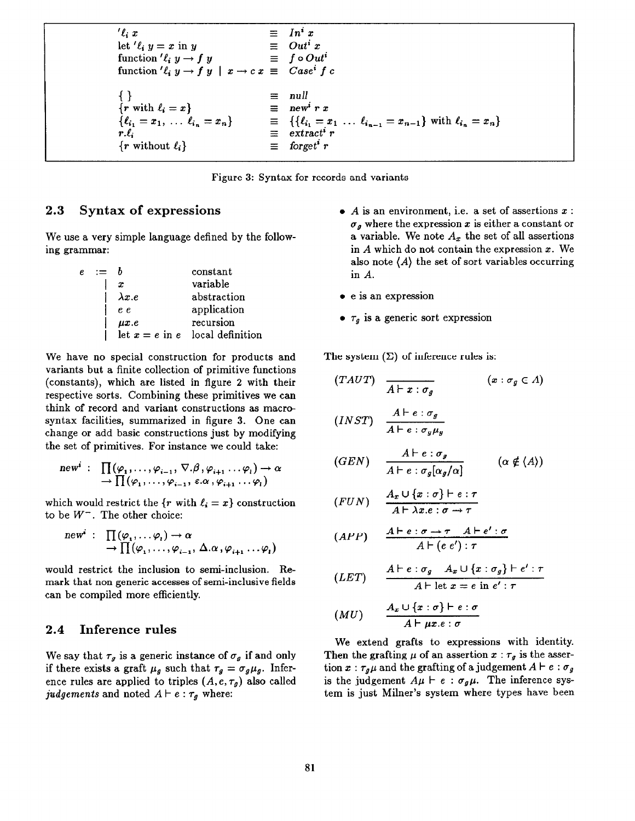$'e_i x = In^i$ let ' $\ell_i$   $y = x$  in  $y = 0$ ut<sup>i</sup>  $x$ <br>function ' $\ell_i$   $y \to f$   $y = f \circ 0$ u function ' $\ell_i$   $y \to f$  y  $\equiv f \circ Out^i$ function ' $\ell_i$   $y \to f$   $y \mid x \to c$   $x \equiv C$ ase<sup>i</sup>  $f$  c  $\{ \}$  $\{r \text{ with } \ell_i = x\}$  $\{\ell_{i_1} = x_1, \ldots \ell_{i_n} = x\}$  $r.\ell_{\bm{i}}$  $\{r \text{ without } \ell_i\}$ null  $\equiv$  new<sup>i</sup> r x  $\equiv \{ \{\ell_{i_1} = x_1 \ldots \ell_{i_{n-1}} = x_{n-1}\} \text{ with } \ell_{i_n} = x_n \}$  $\equiv$  extract<sup>i</sup> r  $\equiv$  forget<sup>i</sup> r

Figure 3: Syntax for records and variants

### 2.3 Syntax of expressions

We use a very simple language defined by the following grammar:

|  |               | constant                          |
|--|---------------|-----------------------------------|
|  | x             | variable                          |
|  | $\lambda x.e$ | abstraction                       |
|  | e e           | application                       |
|  | $\mu x.e$     | recursion                         |
|  |               | let $x = e$ in e local definition |

We have no special construction for products and variants but a finite collection of primitive functions (constants), which are listed in figure 2 with their respective sorts. Combining these primitives we can think of record and variant constructions as macrosyntax facilities, summarized in figure 3. One can change or add basic constructions just by modifying the set of primitives. For instance we could take:

$$
\text{new}^i : \prod_{i} (\varphi_1, \ldots, \varphi_{i-1}, \nabla. \beta, \varphi_{i+1} \ldots \varphi_i) \to \alpha
$$
  

$$
\to \prod_{i} (\varphi_1, \ldots, \varphi_{i-1}, \varepsilon. \alpha, \varphi_{i+1} \ldots \varphi_i)
$$

which would restrict the  $\{r \text{ with } \ell_i = x\}$  construction to be  $W^-$ . The other choice:

$$
\text{new}^i : \prod_{i} (\varphi_1, \ldots \varphi_i) \to \alpha \to \prod (\varphi_1, \ldots, \varphi_{i-1}, \Delta. \alpha, \varphi_{i+1} \ldots \varphi_i)
$$

would restrict the inclusion to semi-inclusion. Remark that non generic accesses of semi-inclusive fields can be compiled more efficiently.

#### 2.4 Inference rules

We say that  $\tau_g$  is a generic instance of  $\sigma_g$  if and only if there exists a graft  $\mu_q$  such that  $\tau_q = \sigma_q \mu_q$ . Inference rules are applied to triples  $(A, e, \tau_g)$  also called judgements and noted  $A \vdash e : \tau_g$  where:

- $\bullet$  A is an environment, i.e. a set of assertions  $x$ :  $\sigma_q$  where the expression x is either a constant or a variable. We note  $A_x$  the set of all assertions in A which do not contain the expression x. We also note  $\langle A \rangle$  the set of sort variables occurring in A.
- $\bullet$  e is an expression
- $\tau_g$  is a generic sort expression

The system  $(\Sigma)$  of inference rules is:

$$
(TAUT) \quad \frac{}{A \vdash x : \sigma_g} \qquad (x : \sigma_g \in A)
$$
\n
$$
(INST) \quad \frac{A \vdash e : \sigma_g}{A \vdash e : \sigma_g \mu_g}
$$
\n
$$
(GEN) \quad \frac{A \vdash e : \sigma_g}{\cdots} \qquad (\alpha \notin \langle A \rangle)
$$

$$
(GEN) \quad \frac{}{A \vdash e : \sigma_g[\alpha_g/\alpha]} \qquad (\alpha \notin \langle A \rangle
$$

$$
(FUN) \quad \frac{A_x \cup \{x : \sigma\} \vdash e : \tau}{A \vdash \lambda x. e : \sigma \rightarrow \tau}
$$

$$
(APP) \quad \frac{A \vdash e : \sigma \to \tau \quad A \vdash e' : \sigma}{A \vdash (e \ e') : \tau}
$$

$$
(LET) \qquad \frac{A \vdash e : \sigma_g \quad A_x \cup \{x : \sigma_g\} \vdash e' : \tau}{A \vdash \text{let } x = e \text{ in } e' : \tau}
$$

$$
(MU) \qquad \frac{A_x \cup \{x : \sigma\} \vdash e : \sigma}{A \vdash \mu x . e : \sigma}
$$

We extend grafts to expressions with identity. Then the grafting  $\mu$  of an assertion  $x : \tau_g$  is the assertion  $x : \tau_g \mu$  and the grafting of a judgement  $A \vdash e : \sigma_g$ is the judgement  $A\mu \vdash e : \sigma_a\mu$ . The inference system is just Milner's system where types have been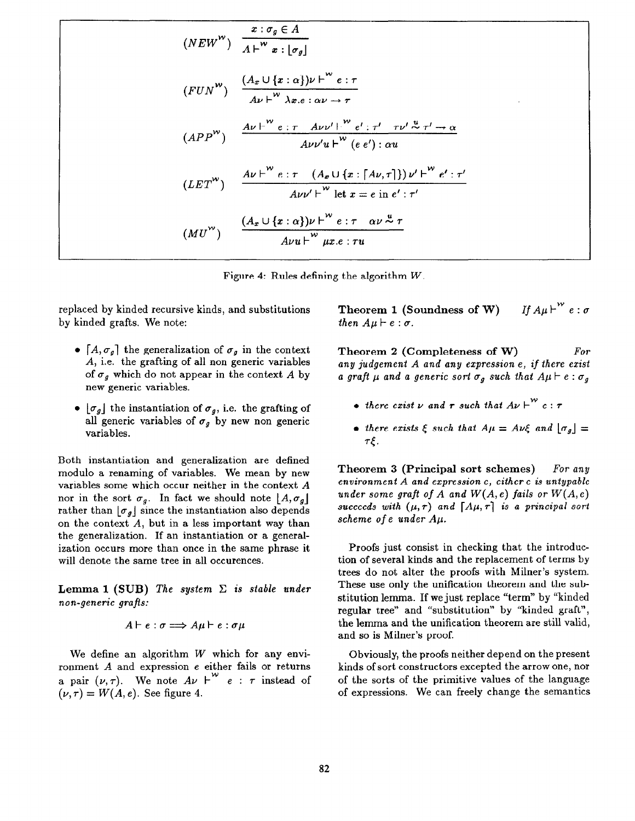$$
(NEW^{W}) \frac{x: \sigma_g \in A}{A \vdash^{W} x: [\sigma_g]}
$$
\n
$$
(FUN^{W}) \frac{(A_x \cup \{x : \alpha\}) \nu \vdash^{W} e: \tau}{A \nu \vdash^{W} \lambda x. e: \alpha \nu \rightarrow \tau}
$$
\n
$$
(APP^{W}) \frac{A \nu \vdash^{W} e: \tau A \nu \nu' \vdash^{W} e': \tau' \tau \nu' \stackrel{u}{\sim} \tau' \rightarrow \alpha}{A \nu \nu' u \vdash^{W} (e e'): \alpha u}
$$
\n
$$
(LET^{W}) \frac{A \nu \vdash^{W} e: \tau (A_x \cup \{x : [A \nu, \tau]\}) \nu' \vdash^{W} e': \tau'}{A \nu \nu' \vdash^{W} \text{let } x = e \text{ in } e': \tau'}
$$
\n
$$
(MU^{W}) \frac{(A_x \cup \{x : \alpha\}) \nu \vdash^{W} e: \tau \alpha \nu \stackrel{u}{\sim} \tau}{A \nu u \vdash^{W} \mu x. e: \tau u}
$$

Figure 4: Rules defining the algorithm W.

replaced by kinded recursive kinds, and substitutions by kinded grafts. We note:

- $[A, \sigma_q]$  the generalization of  $\sigma_q$  in the context A, i.e. the grafting of all non generic variables of  $\sigma_g$  which do not appear in the context A by new generic variables.
- $\bullet$  [ $\sigma_g$ ] the instantiation of  $\sigma_g$ , i.e. the grafting of all generic variables of  $\sigma_g$  by new non generic variables.

Both instantiation and generalization are defined modulo a renaming of variables. We mean by new variables some which occur neither in the context A nor in the sort  $\sigma_g$ . In fact we should note  $\lfloor A, \sigma_g \rfloor$ rather than  $|\sigma_{q}|$  since the instantiation also depends on the context  $A$ , but in a less important way than the generalization. If an instantiation or a generalization occurs more than once in the same phrase it will denote the same tree in all occurences.

**Lemma 1 (SUB)** The system  $\Sigma$  is stable under non-generic grafls:

$$
A \vdash e : \sigma \Longrightarrow A\mu \vdash e : \sigma\mu
$$

We define an algorithm  $W$  which for any environment  $A$  and expression  $e$  either fails or returns a pair  $(\nu, \tau)$ . We note  $A\nu \vdash^{w} e : \tau$  instead of  $(\nu, \tau) = W(A, e)$ . See figure 4.

**Theorem 1 (Soundness of W)** If  $A\mu\mu^{\mu}e:\sigma$ then  $A\mu \vdash e : \sigma$ .

Theorem 2 (Completeness of W) For any judgement A and any expression e, if there exist a graft  $\mu$  and a generic sort  $\sigma_g$  such that  $A\mu \vdash e : \sigma_g$ 

- there exist  $\nu$  and  $\tau$  such that  $A\nu \vdash^{\mathcal{W}} e : \tau$
- there exists  $\xi$  such that  $A\mu = A\nu\xi$  and  $[\sigma_g] =$  $\tau$ .

Theorem 3 (Principal sort schemes) For any environment A and expression e, either e is untypable under some graft of A and  $W(A, e)$  fails or  $W(A, e)$ succeeds with  $(\mu, \tau)$  and  $[A\mu, \tau]$  is a principal sort scheme of e under Aµ.

Proofs just consist in checking that the introduction of several kinds and the replacement of terms by trees do not alter the proofs with Milner's system. These use only the unification theorem and the substitution lemma. If we just replace "term" by "kinded regular tree" and "substitution" by "kinded graft", the lemma and the unification theorem are still valid, and so is Milner's proof,

Obviously, the proofs neither depend on the present kinds of sort constructors excepted the arrow one, nor of the sorts of the primitive values of the language of expressions. We can freely change the semantics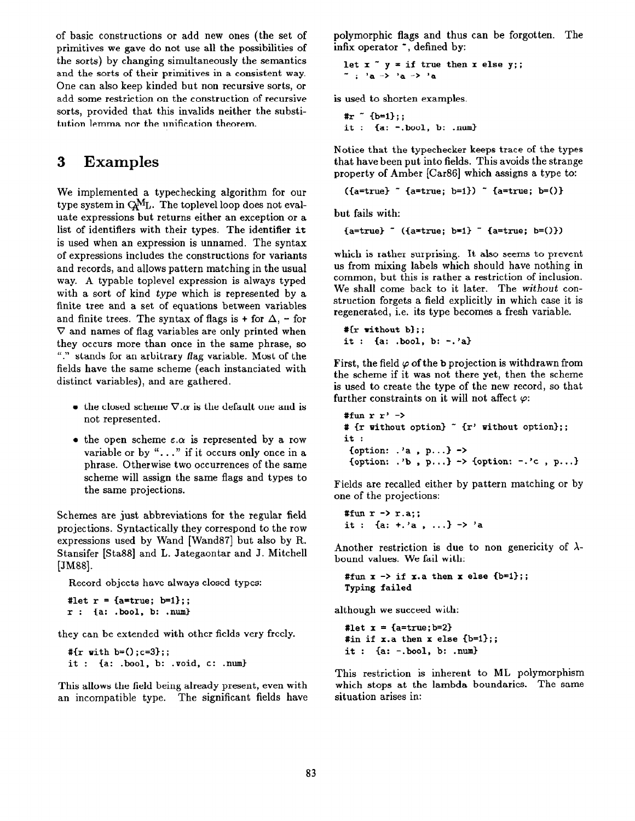of basic constructions or add new ones (the set of primitives we gave do not use all the possibilities of the sorts) by changing simultaneously the semantics and the sorts of their primitives in a consistent way. One can also keep kinded but non recursive sorts, or add some restriction on the construction of recursive sorts, provided that this invalids neither the substitution lemma nor the unification theorem.

# 3 Examples

We implemented a typechecking algorithm for our type system in  $Q_{\text{ML}}$ . The toplevel loop does not evaluate expressions but returns either an exception or a list of identifiers with their types. The identifier it is used when an expression is unnamed. The syntax of expressions includes the constructions for variants and records, and allows pattern matching in the usual way. A typable toplevel expression is always typed with a sort of kind type which is represented by a finite tree and a set of equations between variables and finite trees. The syntax of flags is + for  $\Delta$ , - for  $\nabla$  and names of flag variables are only printed when they occurs more than once in the same phrase, so "." stands for an arbitrary flag variable. Most of the fields have the same scheme (each instanciated with distinct variables), and are gathered.

- the closed scheme  $\nabla \cdot \alpha$  is the default one and is not represented.
- the open scheme  $\varepsilon.\alpha$  is represented by a row variable or by " $\dots$ " if it occurs only once in a phrase. Otherwise two occurrences of the same scheme will assign the same flags and types to the same projections.

Schemes are just abbreviations for the regular field projections. Syntactically they correspond to the row expressions used by Wand [Wand87] but also by R. Stansifer [Sta88] and L. Jategaontar and J. Mitchell [JM88].

Record objects have always closed types:

```
#let r = \{a = true; b = 1\};r : (a: .bool, b: .nun)
```
they can be extended with other fields very freely.

```
#{r with b=();c=3};;
it : {a: .bool, b: .void, c: .num)
```
This allows the field being already present, even with an incompatible type. The significant fields have polymorphic flags and thus can be forgotten. The infix operator  $\tilde{\phantom{a}}$ , defined by:

```
let x^ y = if true then x else y;;
\tilde{a} : 'a -> 'a -> 'a
```
is used to shorten examples.

# $r$  (b=1};; it :  ${a: -.}$ bool,  $b: .$  $num}$ 

Notice that the typechecker keeps trace of the types that have been put into fields. This avoids the strange property of Amber [Car86] which assigns a type to:

```
({a=true} (a=true; b=1) (a=true; b=()
```
but fails with:

 ${a = true}$  ( ${a = true}$ ;  $b = 1}$  ( ${a = true}$ ;  $b = ()$ )

which is rather surprising. It also seems to prevent us from mixing labels which should have nothing in common, but this is rather a restriction of inclusion. We shall come back to it later. The without construction forgets a field explicitly in which case it is regenerated, i.e. its type becomes a fresh variable.

#{r without b); ; it : {a: .bool, b: -.?a)

First, the field  $\varphi$  of the b projection is withdrawn from the scheme if it was not there yet, then the scheme is used to create the type of the new record, so that further constraints on it will not affect  $\varphi$ :

```
#fun r r' ->
# {r without option} \tilde{r} {r' without option};;
it : 
 {option: \cdot'a, p...} ->
 {option: \cdot'b, p...} -> {option: -\cdot'c, p...}
```
Fields are recalled either by pattern matching or by one of the projections:

#fun  $r \rightarrow r.a$ ;; it : {a: +.'a , ...} -> 'a

Another restriction is due to non genericity of  $\lambda$ bound values. We fail with:

#fun  $x \rightarrow if x.a then x else {b=1};;$ Typing failed

although we succeed with:

#let  $x = \{a = true; b = 2\}$ #in if  $x.a$  then  $x$  else  $\{b=1\};$ ;  $it : \{a: -set, b.001, b: .num\}$ 

This restriction is inherent to ML polymorphism which stops at the lambda boundaries. The same situation arises in: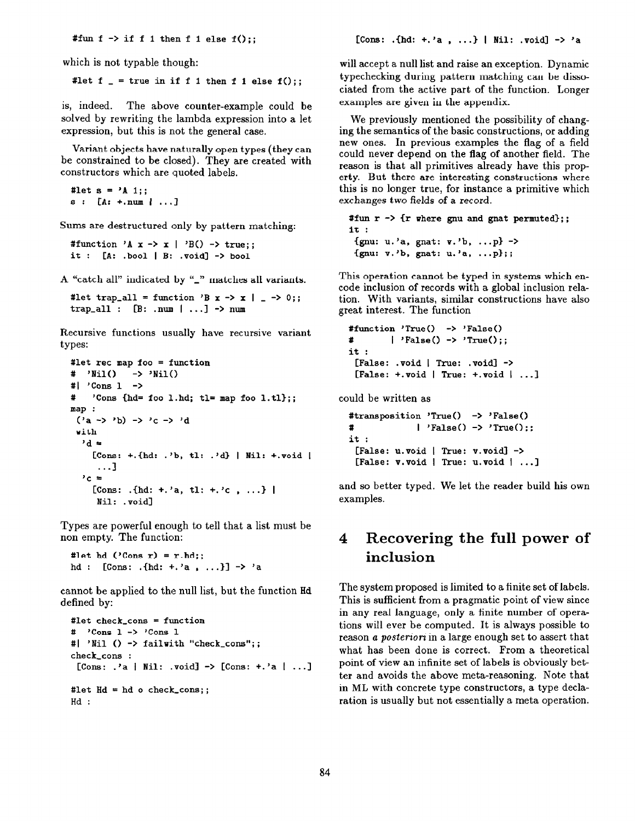#fun f -> if f 1 then f 1 else  $f()$ ;;

which is not typable though:

#let  $f = true$  in if f 1 then f 1 else  $f()$ ;;

is, indeed. The above counter-example could be solved by rewriting the lambda expression into a let expression, but this is not the general case.

Variant objects have naturally open types (they can be constrained to be closed). They are created with constructors which are quoted labels.

#let  $s = 'A 1$ :  $s: [A: +.num | ...]$ 

Sums are destructured only by pattern matching:

```
#function 'A x \rightarrow x | 'B() \rightarrow true;;
it : [A: .bool | B: .void] -> bool
```
A "catch all" indicated by "\_" matches all variants.

#let trap\_all = function 'B x -> x | \_ -> 0;; trap\_all :  $[B: .num | ...]$  -> num

Recursive functions usually have recursive variant types:

```
#let rec map foo = function
# 'Nil()
             \rightarrow 'Nil()
\sharp \vert 'Cons 1 ->
\mathbf{r}'Cons {hd= foo l.hd; tl= map foo l.tl};;
map:('a \rightarrow 'b) \rightarrow 'c \rightarrow 'dwith
  d =[Cons: +.{hd: .'b, tl: .'d} | Nil: +.void |
      \ldots2c =[Cons: .{hd: +.'a, tl: +.'c, ...} |
     Nil: .void]
```
Types are powerful enough to tell that a list must be non empty. The function:

#let hd  $('Cons r) = r.hd;$ ; hd : [Cons: .{hd: +.'a, ...}] -> 'a

cannot be applied to the null list, but the function Hd defined by:

```
#let check\_cons = function\# 'Cons 1 -> 'Cons 1
#| 'Nil () -> failwith "check_cons";;
check_cons :
 [Cons: \cdot a | Nil: \cdot void] -> [Cons: +.'a | ...]
#let Hd = hd o check_cons;;
Hd:
```
will accept a null list and raise an exception. Dynamic typechecking during pattern matching can be dissociated from the active part of the function. Longer examples are given in the appendix.

We previously mentioned the possibility of changing the semantics of the basic constructions, or adding new ones. In previous examples the flag of a field could never depend on the flag of another field. The reason is that all primitives already have this property. But there are interesting constructions where this is no longer true, for instance a primitive which exchanges two fields of a record.

#fun  $r \rightarrow \{r$  where gnu and gnat permuted};;  $it:$ {gnu: u.'a, gnat:  $v.$ 'b, ...p} -> {gnu:  $v.$ 'b, gnat: u.'a, ...p};;

This operation cannot be typed in systems which encode inclusion of records with a global inclusion relation. With variants, similar constructions have also great interest. The function

```
#function 'True() \rightarrow 'False()
\mathbf{r}| 'False() -> 'True();;
it :
 [False: void | True: void] \rightarrow[False: +: void | True: +: void | ...]
```
could be written as

#transposition 'True() -> 'False()  $\sharp$  $\mid$  'False() -> 'True();;  $it:$ [False:  $u.\texttt{void}$  | True:  $v.\texttt{void}$  -> [False: v.void | True: u.void | ...]

and so better typed. We let the reader build his own examples.

#### Recovering the full power of 4 inclusion

The system proposed is limited to a finite set of labels. This is sufficient from a pragmatic point of view since in any real language, only a finite number of operations will ever be computed. It is always possible to reason a *posteriori* in a large enough set to assert that what has been done is correct. From a theoretical point of view an infinite set of labels is obviously better and avoids the above meta-reasoning. Note that in ML with concrete type constructors, a type declaration is usually but not essentially a meta operation.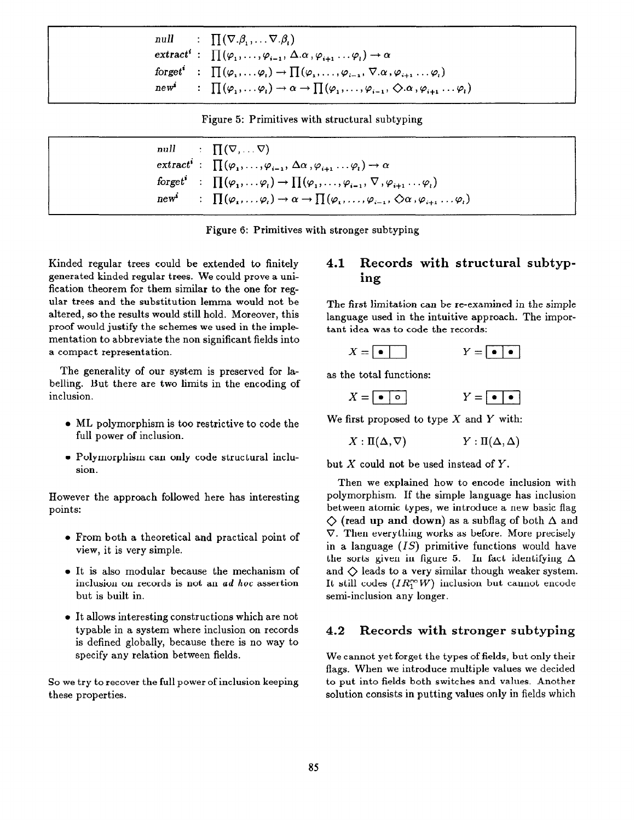|         | null : $\prod (\nabla \cdot \beta_1, \ldots \nabla \cdot \beta_i)$                                                                                                      |
|---------|-------------------------------------------------------------------------------------------------------------------------------------------------------------------------|
|         | $\mathsf{extract}^i : \prod(\varphi_1, \ldots, \varphi_{i-1}, \Delta.\alpha, \varphi_{i+1} \ldots \varphi_i) \rightarrow \alpha$                                        |
|         | forget <sup><i>i</i></sup> : $\prod (\varphi_1, \ldots \varphi_i) \rightarrow \prod (\varphi_1, \ldots, \varphi_{i-1}, \nabla \alpha, \varphi_{i+1} \ldots \varphi_i)$  |
| $new^*$ | $\Gamma : \prod (\varphi_1, \ldots \varphi_i) \rightarrow \alpha \rightarrow \prod (\varphi_1, \ldots, \varphi_{i-1}, \bigcirc \alpha, \varphi_{i+1} \ldots \varphi_i)$ |

Figure 5: Primitives with structural subtyping

|                  | null : $\Pi(\nabla, \ldots \nabla)$                                                                                                                                    |
|------------------|------------------------------------------------------------------------------------------------------------------------------------------------------------------------|
|                  | $\mathsf{extract}^i : \prod(\varphi_1, \ldots, \varphi_{i-1}, \Delta \alpha, \varphi_{i+1} \ldots \varphi_i) \rightarrow \alpha$                                       |
|                  | forget : $\prod (\varphi_1, \ldots \varphi_i) \rightarrow \prod (\varphi_1, \ldots, \varphi_{i-1}, \nabla, \varphi_{i+1} \ldots \varphi_i)$                            |
| new <sup>2</sup> | $\Box$ $\prod (\varphi_1, \ldots \varphi_i) \rightarrow \alpha \rightarrow \prod (\varphi_1, \ldots, \varphi_{i-1}, \triangle \alpha, \varphi_{i+1} \ldots \varphi_i)$ |
|                  |                                                                                                                                                                        |

Figure 6: Primitives with stronger subtyping

Kinded regular trees could be extended to finitely generated kinded regular trees. We could prove a unification theorem for them similar to the one for regular trees and the substitution lemma would not be altered, so the results would still hold. Moreover, this proof would justify the schemes we used in the implementation to abbreviate the non significant fields into a compact representation.

The generality of our system is preserved for labelling. But there are two limits in the encoding of inclusion.

- $\bullet$  ML polymorphism is too restrictive to code the full power of inclusion.
- Polymorphism can only code structural inclusion.

However the approach followed here has interesting points:

- <sup>l</sup>From both a theoretical and practical point of view, it is very simple.
- It is also modular because the mechanism of inclusion on records is not an ad hoc assertion but is built in.
- It allows interesting constructions which are not typable in a system where inclusion on records is defined globally, because there is no way to specify any relation between fields.

So we try to recover the full power of inclusion keeping these properties.

## 4.1 Records with structural subtyping

The first limitation can be re-examined in the simple language used in the intuitive approach. The important idea was to code the records:

| - - - |  | -- | . . | . . |
|-------|--|----|-----|-----|
|       |  |    |     |     |

as the total functions:

We first proposed to type  $X$  and  $Y$  with:

$$
X:\Pi(\Delta,\nabla) \hspace{1.5cm} Y:\Pi(\Delta,\Delta)
$$

but  $X$  could not be used instead of  $Y$ .

Then we explained how to encode inclusion with polymorphism. If the simple language has inclusion between atomic types, we introduce a new basic flag  $\Diamond$  (read up and down) as a subflag of both  $\Delta$  and  $\nabla$ . Then everything works as before. More precisely in a language  $(IS)$  primitive functions would have the sorts given in figure 5. In fact identifying  $\Delta$ and  $\Diamond$  leads to a very similar though weaker system. It still codes  $(IR_1^{\infty}W)$  inclusion but cannot encode semi-inclusion any longer.

### 4.2 Records with stronger subtyping

We cannot yet forget the types of fields, but only their flags. When we introduce multiple values we decided to put into fields both switches and values. Another solution consists in putting values only in fields which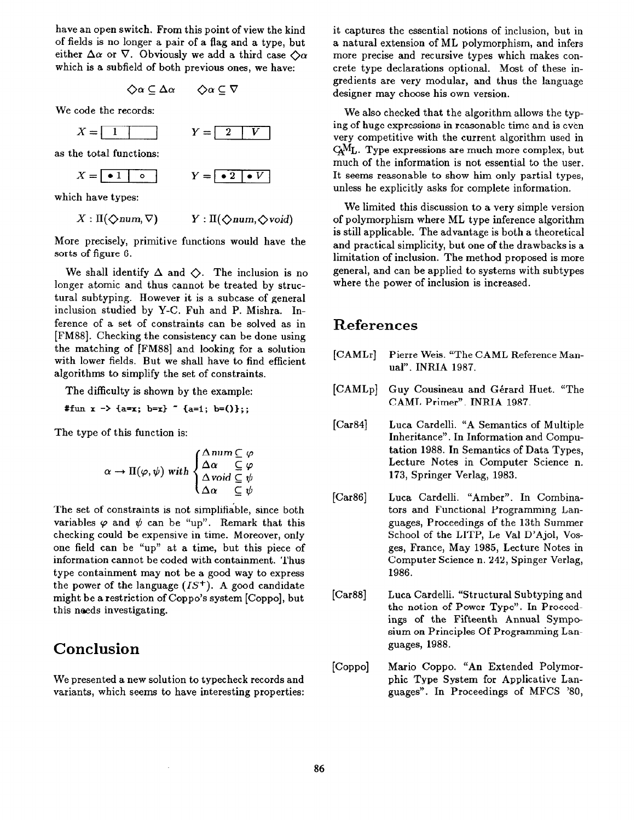have an open switch. From this point of view the kind of fields is no longer a pair of a flag and a type, but either  $\Delta\alpha$  or  $\nabla$ . Obviously we add a third case  $\Diamond\alpha$ which is a subfield of both previous ones, we have:

$$
\diamondsuit \alpha \subseteq \Delta \alpha \qquad \diamondsuit \alpha \subseteq \nabla
$$

We code the records:

 $X=\sqrt{1}$ 

$$
Y = \begin{array}{|c|c|} \hline 2 & V \\ \hline \end{array}
$$

as the total functions:

$$
X = \begin{array}{|c|c|c|c|c|} \hline \bullet & 1 & \circ \\ \hline \bullet & \bullet & \end{array} \qquad Y = \begin{array}{|c|c|c|c|} \hline \bullet & 2 & \bullet & V \\ \hline \bullet & 2 & \bullet & V \\ \hline \end{array}
$$

which have types:

$$
X: \Pi(\bigdiamondsuit num, \nabla) \qquad Y: \Pi(\bigdiamondsuit num, \diamondsuit \text{void})
$$

More precisely, primitive functions would have the sorts of figure 6.

We shall identify  $\Delta$  and  $\Diamond$ . The inclusion is no longer atomic and thus cannot be treated by structural subtyping. However it is a subcase of general inclusion studied by Y-C. Fuh and P. Mishra. Inference of a set of constraints can be solved as in [FM88]. Checking the consistency can be done using the matching of [FM881 and looking for a solution with lower fields. But we shall have to find efficient algorithms to simplify the set of constraints.

The difficulty is shown by the example:

#fun  $x \rightarrow \{a=x; b=x\}$  "  $\{a=1; b=(0)\};$ 

The type of this function is:

$$
\alpha \to \Pi(\varphi, \psi) \text{ with } \begin{cases} \Delta \text{ num } \subseteq \varphi \\ \Delta \alpha & \subseteq \varphi \\ \Delta \text{ void } \subseteq \psi \\ \Delta \alpha & \subseteq \psi \end{cases}
$$

The set of constraints is not simplifiable, since both variables  $\varphi$  and  $\psi$  can be "up". Remark that this checking could be expensive in time. Moreover, only one field can be "up" at a time, but this piece of information cannot be coded with containment. Thus type containment may not be a good way to express the power of the language  $(IS^+)$ . A good candidate might be a restriction of Coppo's system [Coppo], but this needs investigating.

# Conclusion

We presented a new solution to typecheck records and variants, which seems to have interesting properties:

 $\mathcal{A}$ 

it captures the essential notions of inclusion, but in a natural extension of ML polymorphism, and infers more precise and recursive types which makes concrete type declarations optional. Most of these ingredients are very modular, and thus the language designer may choose his own version.

We also checked that the algorithm allows the typing of huge expressions in reasonable time and is even very competitive with the current algorithm used in  $\rm Ca^{M}L$ . Type expressions are much more complex, but much of the information is not essential to the user. It seems reasonable to show him only partial types, unless he explicitly asks for complete information.

We limited this discussion to a very simple version of polymorphism where ML type inference algorithm is still applicable. The advantage is both a theoretical and practical simplicity, but one of the drawbacks is a limitation of inclusion. The method proposed is more general, and can be applied to systems with subtypes where the power of inclusion is increased.

## References

- [CAMLr] Pierre Weis. "The CAML Reference Manual". INRIA 1987.
- $[CAMLp]$ Guy Cousineau and Gerard Huet. "The CAML Primer". INRIA 1987.
- $[Car84]$ Luca Cardelli. "A Semantics of Multiple Inheritance". In Information and Computation 1988. In Semantics of Data Types, Lecture Notes in Computer Science n. 173, Springer Verlag, 1983.
- $[Car86]$ Luca Cardelli. "Amber". In Combinators and Functional Programming Languages, Proceedings of the 13th Summer School of the LITP, Le Val D'Ajol, Vosges, France, May 1985, Lecture Notes in Computer Science n. 242, Spinger Verlag, 1986.
- [Car88] Luca Cardelli. "Structural Subtyping and the notion of Power Type". In Proceedings of the Fifteenth Annual Symposium on Principles Of Programming Languages, 1988.
- [Coppo] Mario Coppo. "An Extended Polymorphic Type System for Applicative Languages". In Proceedings of MFCS '80,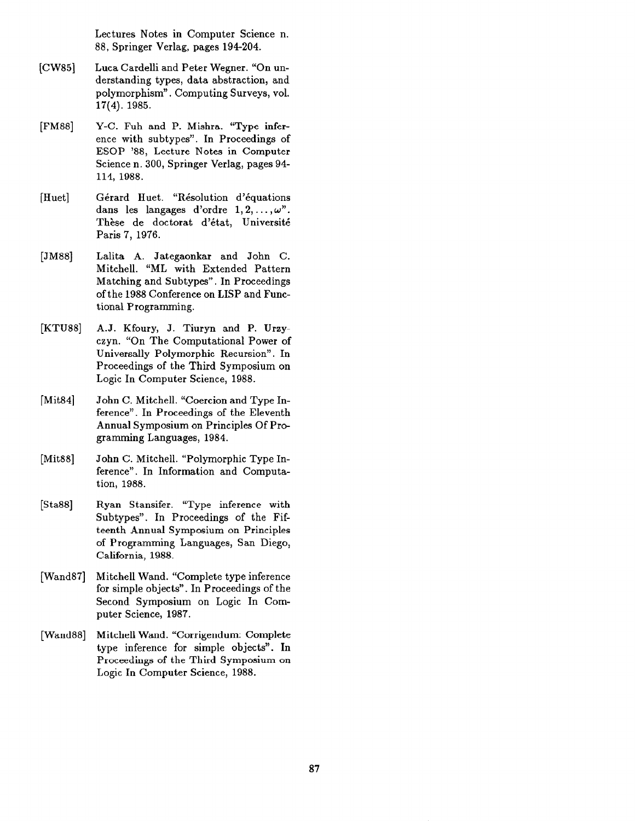Lectures Notes in Computer Science n. 88, Springer Verlag, pages 194204.

- [CW85] Luca Cardelli and Peter Wegner. "On understanding types, data abstraction, and polymorphism". Computing Surveys, vol. 17(4). 1985.
- [FM88] Y-C. Fuh and P. Mishra. "Type inference with subtypes". In Proceedings of ESOP '88, Lecture Notes in Computer Science n. 300, Springer Verlag, pages 94- 114, 1988.
- [Huet] Gérard Huet. "Résolution d'équations dans les langages d'ordre  $1, 2, ..., \omega$ ". Thèse de doctorat d'état, Université Paris 7, 1976.
- [JM88] Lalita A. Jategaonkar and John C. Mitchell. "ML with Extended Pattern Matching and Subtypes". In Proceedings of the 1988 Conference on LISP and Functional Programming.
- [KTU88] A.J. Kfoury, J. Tiuryn and P. Urzyczyn. "On The Computational Power of Universally Polymorphic Recursion". In Proceedings of the Third Symposium on Logic In Computer Science, 1988.
- [Mit84] John C. Mitchell. "Coercion and Type Inference". In Proceedings of the Eleventh Annual Symposium on Principles Of Programming Languages, 1984.
- [Mit<sub>88</sub>] John C. Mitchell. "Polymorphic Type Inference". In Information and Computation, 1988.
- [Sta88] Ryan Stansifer. "Type inference with Subtypes". In Proceedings of the Fifteenth Annual Symposium on Principles of Programming Languages, San Diego, California, 1988.
- [Wand87] Mitchell Wand. "Complete type inference for simple objects". In Proceedings of the Second Symposium on Logic In Computer Science, 1987.
- [Wand88] Mitchell Wand. "Corrigendum: Complete type inference for simple objects". In Proceedings of the Third Symposium on Logic In Computer Science, 1988.